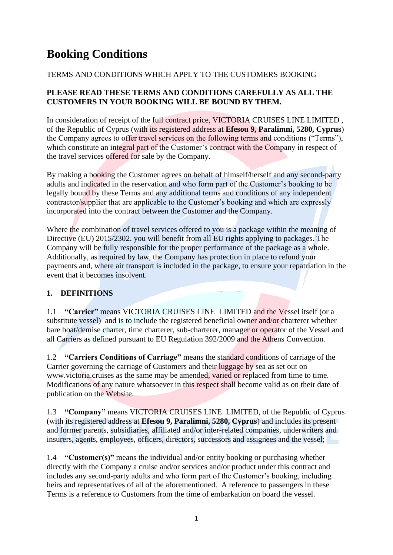# **Booking Conditions**

# TERMS AND CONDITIONS WHICH APPLY TO THE CUSTOMERS BOOKING

## **PLEASE READ THESE TERMS AND CONDITIONS CAREFULLY AS ALL THE CUSTOMERS IN YOUR BOOKING WILL BE BOUND BY THEM.**

In consideration of receipt of the full contract price, VICTORIA CRUISES LINE LIMITED. of the Republic of Cyprus (with its registered address at **Efesou 9, Paralimni, 5280, Cyprus**) the Company agrees to offer travel services on the following terms and conditions ("Terms"), which constitute an integral part of the Customer's contract with the Company in respect of the travel services offered for sale by the Company.

By making a booking the Customer agrees on behalf of himself/herself and any second-party adults and indicated in the reservation and who form part of the Customer's booking to be legally bound by these Terms and any additional terms and conditions of any independent contractor/supplier that are applicable to the Customer's booking and which are expressly incorporated into the contract between the Customer and the Company.

Where the combination of travel services offered to you is a package within the meaning of Directive (EU) 2015/2302. you will benefit from all EU rights applying to packages. The Company will be fully responsible for the proper performance of the package as a whole. Additionally, as required by law, the Company has protection in place to refund your payments and, where air transport is included in the package, to ensure your repatriation in the event that it becomes insolvent.

# **1. DEFINITIONS**

1.1 **"Carrier"** means VICTORIA CRUISES LINE LIMITED and the Vessel itself (or a substitute vessel) and is to include the registered beneficial owner and/or charterer whether bare boat/demise charter, time charterer, sub-charterer, manager or operator of the Vessel and all Carriers as defined pursuant to EU Regulation 392/2009 and the Athens Convention.

1.2 **"Carriers Conditions of Carriage"** means the standard conditions of carriage of the Carrier governing the carriage of Customers and their luggage by sea as set out on www.victoria.cruises as the same may be amended, varied or replaced from time to time. Modifications of any nature whatsoever in this respect shall become valid as on their date of publication on the Website.

1.3 **"Company"** means VICTORIA CRUISES LINE LIMITED, of the Republic of Cyprus (with its registered address at **Efesou 9, Paralimni, 5280, Cyprus**) and includes its present and former parents, subsidiaries, affiliated and/or inter-related companies, underwriters and insurers, agents, employees, officers, directors, successors and assignees and the vessel;

1.4 **"Customer(s)"** means the individual and/or entity booking or purchasing whether directly with the Company a cruise and/or services and/or product under this contract and includes any second-party adults and who form part of the Customer's booking, including heirs and representatives of all of the aforementioned. A reference to passengers in these Terms is a reference to Customers from the time of embarkation on board the vessel.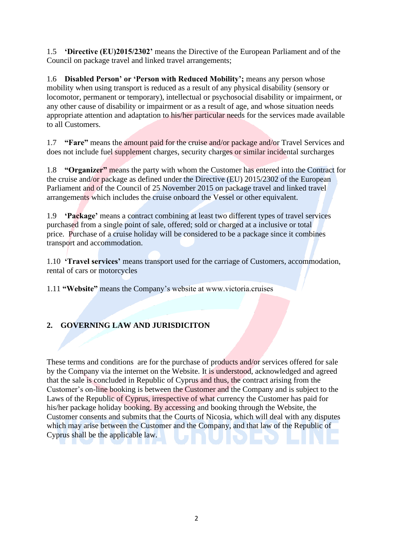1.5 **'Directive (EU)2015/2302'** means the Directive of the European Parliament and of the Council on package travel and linked travel arrangements;

1.6 **Disabled Person' or 'Person with Reduced Mobility';** means any person whose mobility when using transport is reduced as a result of any physical disability (sensory or locomotor, permanent or temporary), intellectual or psychosocial disability or impairment, or any other cause of disability or impairment or as a result of age, and whose situation needs appropriate attention and adaptation to his/her particular needs for the services made available to all Customers.

1.7 **"Fare"** means the amount paid for the cruise and/or package and/or Travel Services and does not include fuel supplement charges, security charges or similar incidental surcharges

1.8 **"Organizer"** means the party with whom the Customer has entered into the Contract for the cruise and/or package as defined under the Directive (EU) 2015/2302 of the European Parliament and of the Council of 25 November 2015 on package travel and linked travel arrangements which includes the cruise onboard the Vessel or other equivalent.

1.9 **'Package'** means a contract combining at least two different types of travel services purchased from a single point of sale, offered; sold or charged at a inclusive or total price. Purchase of a cruise holiday will be considered to be a package since it combines transport and accommodation.

1.10 **'Travel services'** means transport used for the carriage of Customers, accommodation, rental of cars or motorcycles

1.11 **"Website"** means the Company's website at www.victoria.cruises

## **2. GOVERNING LAW AND JURISDICITON**

These terms and conditions are for the purchase of products and/or services offered for sale by the Company via the internet on the Website. It is understood, acknowledged and agreed that the sale is concluded in Republic of Cyprus and thus, the contract arising from the Customer's on-line booking is between the Customer and the Company and is subject to the Laws of the Republic of Cyprus, irrespective of what currency the Customer has paid for his/her package holiday booking. By accessing and booking through the Website, the Customer consents and submits that the Courts of Nicosia, which will deal with any disputes which may arise between the Customer and the Company, and that law of the Republic of Cyprus shall be the applicable law.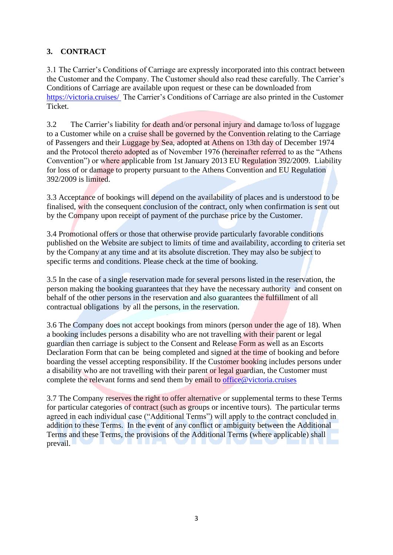# **3. CONTRACT**

3.1 The Carrier's Conditions of Carriage are expressly incorporated into this contract between the Customer and the Company. The Customer should also read these carefully. The Carrier's Conditions of Carriage are available upon request or these can be downloaded from <https://victoria.cruises/> The Carrier's Conditions of Carriage are also printed in the Customer Ticket.

3.2 The Carrier's liability for death and/or personal injury and damage to/loss of luggage to a Customer while on a cruise shall be governed by the Convention relating to the Carriage of Passengers and their Luggage by Sea, adopted at Athens on 13th day of December 1974 and the Protocol thereto adopted as of November 1976 (hereinafter referred to as the "Athens Convention") or where applicable from 1st January 2013 EU Regulation 392/2009. Liability for loss of or damage to property pursuant to the Athens Convention and EU Regulation 392/2009 is limited.

3.3 Acceptance of bookings will depend on the availability of places and is understood to be finalised, with the consequent conclusion of the contract, only when confirmation is sent out by the Company upon receipt of payment of the purchase price by the Customer.

3.4 Promotional offers or those that otherwise provide particularly favorable conditions published on the Website are subject to limits of time and availability, according to criteria set by the Company at any time and at its absolute discretion. They may also be subject to specific terms and conditions. Please check at the time of booking.

3.5 In the case of a single reservation made for several persons listed in the reservation, the person making the booking guarantees that they have the necessary authority and consent on behalf of the other persons in the reservation and also guarantees the fulfillment of all contractual obligations by all the persons, in the reservation.

3.6 The Company does not accept bookings from minors (person under the age of 18). When a booking includes persons a disability who are not travelling with their parent or legal guardian then carriage is subject to the Consent and Release Form as well as an Escorts Declaration Form that can be being completed and signed at the time of booking and before boarding the vessel accepting responsibility. If the Customer booking includes persons under a disability who are not travelling with their parent or legal guardian, the Customer must complete the relevant forms and send them by email to office@victoria.cruises

3.7 The Company reserves the right to offer alternative or supplemental terms to these Terms for particular categories of contract (such as groups or incentive tours). The particular terms agreed in each individual case ("Additional Terms") will apply to the contract concluded in addition to these Terms. In the event of any conflict or ambiguity between the Additional Terms and these Terms, the provisions of the Additional Terms (where applicable) shall prevail.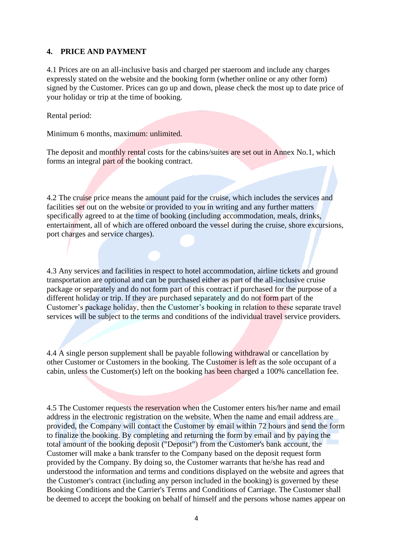#### **4. PRICE AND PAYMENT**

4.1 Prices are on an all-inclusive basis and charged per staeroom and include any charges expressly stated on the website and the booking form (whether online or any other form) signed by the Customer. Prices can go up and down, please check the most up to date price of your holiday or trip at the time of booking.

Rental period:

Minimum 6 months, maximum: unlimited.

The deposit and monthly rental costs for the cabins/suites are set out in Annex No.1, which forms an integral part of the booking contract.

4.2 The cruise price means the amount paid for the cruise, which includes the services and facilities set out on the website or provided to you in writing and any further matters specifically agreed to at the time of booking (including accommodation, meals, drinks, entertainment, all of which are offered onboard the vessel during the cruise, shore excursions, port charges and service charges).

4.3 Any services and facilities in respect to hotel accommodation, airline tickets and ground transportation are optional and can be purchased either as part of the all-inclusive cruise package or separately and do not form part of this contract if purchased for the purpose of a different holiday or trip. If they are purchased separately and do not form part of the Customer's package holiday, then the Customer's booking in relation to these separate travel services will be subject to the terms and conditions of the individual travel service providers.

4.4 A single person supplement shall be payable following withdrawal or cancellation by other Customer or Customers in the booking. The Customer is left as the sole occupant of a cabin, unless the Customer(s) left on the booking has been charged a 100% cancellation fee.

4.5 The Customer requests the reservation when the Customer enters his/her name and email address in the electronic registration on the website. When the name and email address are provided, the Company will contact the Customer by email within 72 hours and send the form to finalize the booking. By completing and returning the form by email and by paying the total amount of the booking deposit ("Deposit") from the Customer's bank account, the Customer will make a bank transfer to the Company based on the deposit request form provided by the Company. By doing so, the Customer warrants that he/she has read and understood the information and terms and conditions displayed on the website and agrees that the Customer's contract (including any person included in the booking) is governed by these Booking Conditions and the Carrier's Terms and Conditions of Carriage. The Customer shall be deemed to accept the booking on behalf of himself and the persons whose names appear on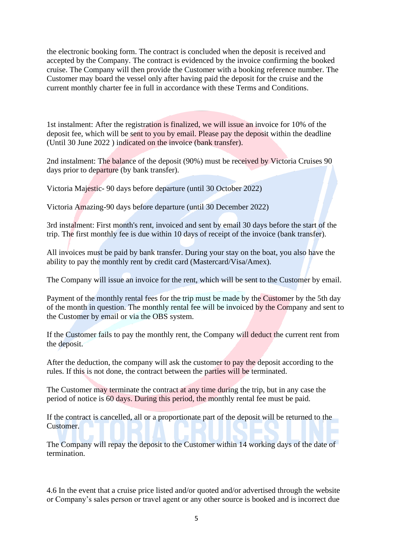the electronic booking form. The contract is concluded when the deposit is received and accepted by the Company. The contract is evidenced by the invoice confirming the booked cruise. The Company will then provide the Customer with a booking reference number. The Customer may board the vessel only after having paid the deposit for the cruise and the current monthly charter fee in full in accordance with these Terms and Conditions.

1st instalment: After the registration is finalized, we will issue an invoice for 10% of the deposit fee, which will be sent to you by email. Please pay the deposit within the deadline (Until 30 June 2022 ) indicated on the invoice (bank transfer).

2nd instalment: The balance of the deposit (90%) must be received by Victoria Cruises 90 days prior to departure (by bank transfer).

Victoria Majestic- 90 days before departure (until 30 October 2022)

Victoria Amazing-90 days before departure (until 30 December 2022)

3rd instalment: First month's rent, invoiced and sent by email 30 days before the start of the trip. The first monthly fee is due within 10 days of receipt of the invoice (bank transfer).

All invoices must be paid by bank transfer. During your stay on the boat, you also have the ability to pay the monthly rent by credit card (Mastercard/Visa/Amex).

The Company will issue an invoice for the rent, which will be sent to the Customer by email.

Payment of the monthly rental fees for the trip must be made by the Customer by the 5th day of the month in question. The monthly rental fee will be invoiced by the Company and sent to the Customer by email or via the OBS system.

If the Customer fails to pay the monthly rent, the Company will deduct the current rent from the deposit.

After the deduction, the company will ask the customer to pay the deposit according to the rules. If this is not done, the contract between the parties will be terminated.

The Customer may terminate the contract at any time during the trip, but in any case the period of notice is 60 days. During this period, the monthly rental fee must be paid.

If the contract is cancelled, all or a proportionate part of the deposit will be returned to the Customer.

The Company will repay the deposit to the Customer within 14 working days of the date of termination.

4.6 In the event that a cruise price listed and/or quoted and/or advertised through the website or Company's sales person or travel agent or any other source is booked and is incorrect due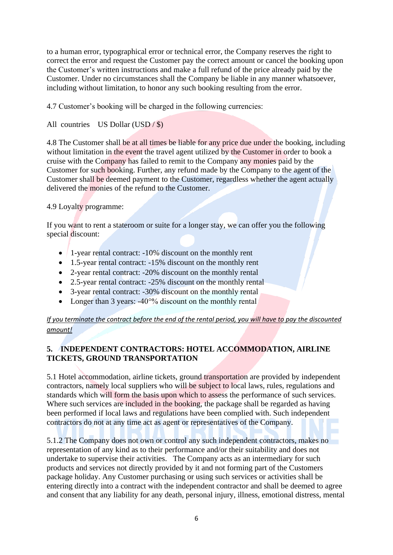to a human error, typographical error or technical error, the Company reserves the right to correct the error and request the Customer pay the correct amount or cancel the booking upon the Customer's written instructions and make a full refund of the price already paid by the Customer. Under no circumstances shall the Company be liable in any manner whatsoever, including without limitation, to honor any such booking resulting from the error.

4.7 Customer's booking will be charged in the following currencies:

All countries US Dollar  $(USD / $)$ 

4.8 The Customer shall be at all times be liable for any price due under the booking, including without limitation in the event the travel agent utilized by the Customer in order to book a cruise with the Company has failed to remit to the Company any monies paid by the Customer for such booking. Further, any refund made by the Company to the agent of the Customer shall be deemed payment to the Customer, regardless whether the agent actually delivered the monies of the refund to the Customer.

#### 4.9 Loyalty programme:

If you want to rent a stateroom or suite for a longer stay, we can offer you the following special discount:

- 1-year rental contract: -10% discount on the monthly rent
- 1.5-year rental contract: -15% discount on the monthly rent
- 2-year rental contract: -20% discount on the monthly rental
- 2.5-year rental contract: -25% discount on the monthly rental
- 3-year rental contract: -30% discount on the monthly rental
- Longer than 3 years:  $-40^{\circ}\%$  discount on the monthly rental

#### *If you terminate the contract before the end of the rental period, you will have to pay the discounted amount!*

## **5. INDEPENDENT CONTRACTORS: HOTEL ACCOMMODATION, AIRLINE TICKETS, GROUND TRANSPORTATION**

5.1 Hotel accommodation, airline tickets, ground transportation are provided by independent contractors, namely local suppliers who will be subject to local laws, rules, regulations and standards which will form the basis upon which to assess the performance of such services. Where such services are included in the booking, the package shall be regarded as having been performed if local laws and regulations have been complied with. Such independent contractors do not at any time act as agent or representatives of the Company.

5.1.2 The Company does not own or control any such independent contractors, makes no representation of any kind as to their performance and/or their suitability and does not undertake to supervise their activities. The Company acts as an intermediary for such products and services not directly provided by it and not forming part of the Customers package holiday. Any Customer purchasing or using such services or activities shall be entering directly into a contract with the independent contractor and shall be deemed to agree and consent that any liability for any death, personal injury, illness, emotional distress, mental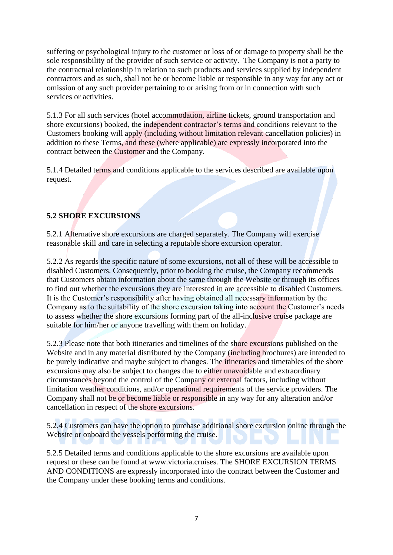suffering or psychological injury to the customer or loss of or damage to property shall be the sole responsibility of the provider of such service or activity. The Company is not a party to the contractual relationship in relation to such products and services supplied by independent contractors and as such, shall not be or become liable or responsible in any way for any act or omission of any such provider pertaining to or arising from or in connection with such services or activities.

5.1.3 For all such services (hotel accommodation, airline tickets, ground transportation and shore excursions) booked, the independent contractor's terms and conditions relevant to the Customers booking will apply (including without limitation relevant cancellation policies) in addition to these Terms, and these (where applicable) are expressly incorporated into the contract between the Customer and the Company.

5.1.4 Detailed terms and conditions applicable to the services described are available upon request.

## **5.2 SHORE EXCURSIONS**

5.2.1 Alternative shore excursions are charged separately. The Company will exercise reasonable skill and care in selecting a reputable shore excursion operator.

5.2.2 As regards the specific nature of some excursions, not all of these will be accessible to disabled Customers. Consequently, prior to booking the cruise, the Company recommends that Customers obtain information about the same through the Website or through its offices to find out whether the excursions they are interested in are accessible to disabled Customers. It is the Customer's responsibility after having obtained all necessary information by the Company as to the suitability of the shore excursion taking into account the Customer's needs to assess whether the shore excursions forming part of the all-inclusive cruise package are suitable for him/her or anyone travelling with them on holiday.

5.2.3 Please note that both itineraries and timelines of the shore excursions published on the Website and in any material distributed by the Company (including brochures) are intended to be purely indicative and maybe subject to changes. The itineraries and timetables of the shore excursions may also be subject to changes due to either unavoidable and extraordinary circumstances beyond the control of the Company or external factors, including without limitation weather conditions, and/or operational requirements of the service providers. The Company shall not be or become liable or responsible in any way for any alteration and/or cancellation in respect of the shore excursions.

5.2.4 Customers can have the option to purchase additional shore excursion online through the Website or onboard the vessels performing the cruise.

5.2.5 Detailed terms and conditions applicable to the shore excursions are available upon request or these can be found at www.victoria.cruises. The SHORE EXCURSION TERMS AND CONDITIONS are expressly incorporated into the contract between the Customer and the Company under these booking terms and conditions.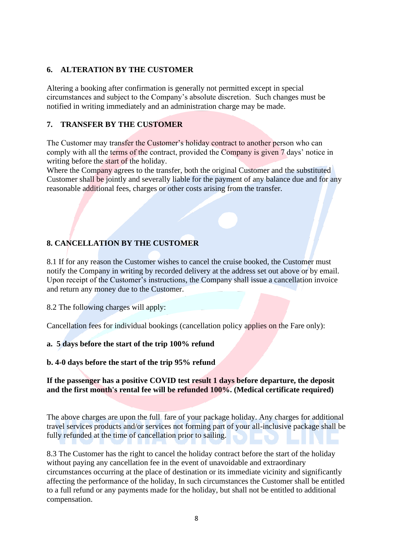#### **6. ALTERATION BY THE CUSTOMER**

Altering a booking after confirmation is generally not permitted except in special circumstances and subject to the Company's absolute discretion. Such changes must be notified in writing immediately and an administration charge may be made.

## **7. TRANSFER BY THE CUSTOMER**

The Customer may transfer the Customer's holiday contract to another person who can comply with all the terms of the contract, provided the Company is given 7 days' notice in writing before the start of the holiday.

Where the Company agrees to the transfer, both the original Customer and the substituted Customer shall be jointly and severally liable for the payment of any balance due and for any reasonable additional fees, charges or other costs arising from the transfer.

# **8. CANCELLATION BY THE CUSTOMER**

8.1 If for any reason the Customer wishes to cancel the cruise booked, the Customer must notify the Company in writing by recorded delivery at the address set out above or by email. Upon receipt of the Customer's instructions, the Company shall issue a cancellation invoice and return any money due to the Customer.

8.2 The following charges will apply:

Cancellation fees for individual bookings (cancellation policy applies on the Fare only):

#### **a. 5 days before the start of the trip 100% refund**

#### **b. 4-0 days before the start of the trip 95% refund**

#### **If the passenger has a positive COVID test result 1 days before departure, the deposit and the first month's rental fee will be refunded 100%. (Medical certificate required)**

The above charges are upon the full fare of your package holiday. Any charges for additional travel services products and/or services not forming part of your all-inclusive package shall be fully refunded at the time of cancellation prior to sailing.

8.3 The Customer has the right to cancel the holiday contract before the start of the holiday without paying any cancellation fee in the event of unavoidable and extraordinary circumstances occurring at the place of destination or its immediate vicinity and significantly affecting the performance of the holiday, In such circumstances the Customer shall be entitled to a full refund or any payments made for the holiday, but shall not be entitled to additional compensation.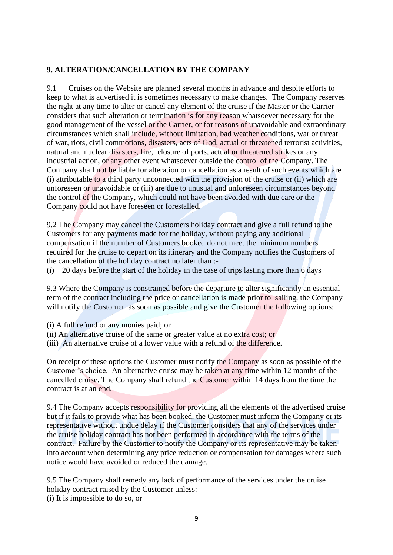## **9. ALTERATION/CANCELLATION BY THE COMPANY**

9.1 Cruises on the Website are planned several months in advance and despite efforts to keep to what is advertised it is sometimes necessary to make changes. The Company reserves the right at any time to alter or cancel any element of the cruise if the Master or the Carrier considers that such alteration or termination is for any reason whatsoever necessary for the good management of the vessel or the Carrier, or for reasons of unavoidable and extraordinary circumstances which shall include, without limitation, bad weather conditions, war or threat of war, riots, civil commotions, disasters, acts of God, actual or threatened terrorist activities, natural and nuclear disasters, fire, closure of ports, actual or threatened strikes or any industrial action, or any other event whatsoever outside the control of the Company. The Company shall not be liable for alteration or cancellation as a result of such events which are (i) attributable to a third party unconnected with the provision of the cruise or (ii) which are unforeseen or unavoidable or (iii) are due to unusual and unforeseen circumstances beyond the control of the Company, which could not have been avoided with due care or the Company could not have foreseen or forestalled.

9.2 The Company may cancel the Customers holiday contract and give a full refund to the Customers for any payments made for the holiday, without paying any additional compensation if the number of Customers booked do not meet the minimum numbers required for the cruise to depart on its itinerary and the Company notifies the Customers of the cancellation of the holiday contract no later than :-

(i) 20 days before the start of the holiday in the case of trips lasting more than 6 days

9.3 Where the Company is constrained before the departure to alter significantly an essential term of the contract including the price or cancellation is made prior to sailing, the Company will notify the Customer as soon as possible and give the Customer the following options:

(i) A full refund or any monies paid; or

- (ii) An alternative cruise of the same or greater value at no extra cost; or
- (iii) An alternative cruise of a lower value with a refund of the difference.

On receipt of these options the Customer must notify the Company as soon as possible of the Customer's choice. An alternative cruise may be taken at any time within 12 months of the cancelled cruise. The Company shall refund the Customer within 14 days from the time the contract is at an end.

9.4 The Company accepts responsibility for providing all the elements of the advertised cruise but if it fails to provide what has been booked, the Customer must inform the Company or its representative without undue delay if the Customer considers that any of the services under the cruise holiday contract has not been performed in accordance with the terms of the contract. Failure by the Customer to notify the Company or its representative may be taken into account when determining any price reduction or compensation for damages where such notice would have avoided or reduced the damage.

9.5 The Company shall remedy any lack of performance of the services under the cruise holiday contract raised by the Customer unless: (i) It is impossible to do so, or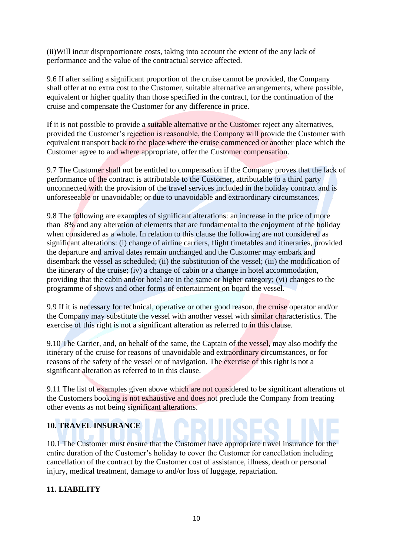(ii)Will incur disproportionate costs, taking into account the extent of the any lack of performance and the value of the contractual service affected.

9.6 If after sailing a significant proportion of the cruise cannot be provided, the Company shall offer at no extra cost to the Customer, suitable alternative arrangements, where possible, equivalent or higher quality than those specified in the contract, for the continuation of the cruise and compensate the Customer for any difference in price.

If it is not possible to provide a suitable alternative or the Customer reject any alternatives, provided the Customer's rejection is reasonable, the Company will provide the Customer with equivalent transport back to the place where the cruise commenced or another place which the Customer agree to and where appropriate, offer the Customer compensation.

9.7 The Customer shall not be entitled to compensation if the Company proves that the lack of performance of the contract is attributable to the Customer, attributable to a third party unconnected with the provision of the travel services included in the holiday contract and is unforeseeable or unavoidable; or due to unavoidable and extraordinary circumstances.

9.8 The following are examples of significant alterations: an increase in the price of more than 8% and any alteration of elements that are fundamental to the enjoyment of the holiday when considered as a whole. In relation to this clause the following are not considered as significant alterations: (i) change of airline carriers, flight timetables and itineraries, provided the departure and arrival dates remain unchanged and the Customer may embark and disembark the vessel as scheduled; (ii) the substitution of the vessel; (iii) the modification of the itinerary of the cruise; (iv) a change of cabin or a change in hotel accommodation, providing that the cabin and/or hotel are in the same or higher category; (vi) changes to the programme of shows and other forms of entertainment on board the vessel.

9.9 If it is necessary for technical, operative or other good reason, the cruise operator and/or the Company may substitute the vessel with another vessel with similar characteristics. The exercise of this right is not a significant alteration as referred to in this clause.

9.10 The Carrier, and, on behalf of the same, the Captain of the vessel, may also modify the itinerary of the cruise for reasons of unavoidable and extraordinary circumstances, or for reasons of the safety of the vessel or of navigation. The exercise of this right is not a significant alteration as referred to in this clause.

9.11 The list of examples given above which are not considered to be significant alterations of the Customers booking is not exhaustive and does not preclude the Company from treating other events as not being significant alterations.

## **10. TRAVEL INSURANCE**

10.1 The Customer must ensure that the Customer have appropriate travel insurance for the entire duration of the Customer's holiday to cover the Customer for cancellation including cancellation of the contract by the Customer cost of assistance, illness, death or personal injury, medical treatment, damage to and/or loss of luggage, repatriation.

#### **11. LIABILITY**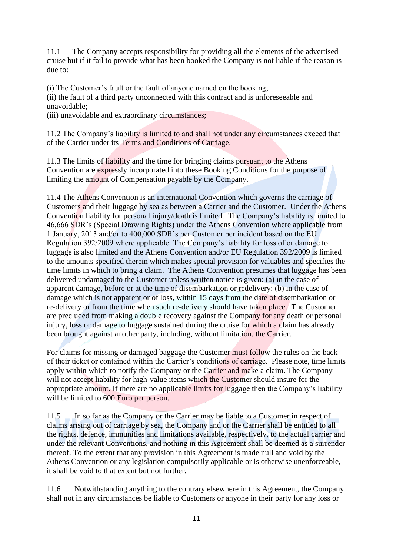11.1 The Company accepts responsibility for providing all the elements of the advertised cruise but if it fail to provide what has been booked the Company is not liable if the reason is due to:

(i) The Customer's fault or the fault of anyone named on the booking;

(ii) the fault of a third party unconnected with this contract and is unforeseeable and unavoidable;

(iii) unavoidable and extraordinary circumstances;

11.2 The Company's liability is limited to and shall not under any circumstances exceed that of the Carrier under its Terms and Conditions of Carriage.

11.3 The limits of liability and the time for bringing claims pursuant to the Athens Convention are expressly incorporated into these Booking Conditions for the purpose of limiting the amount of Compensation payable by the Company.

11.4 The Athens Convention is an international Convention which governs the carriage of Customers and their luggage by sea as between a Carrier and the Customer. Under the Athens Convention liability for personal injury/death is limited. The Company's liability is limited to 46,666 SDR's (Special Drawing Rights) under the Athens Convention where applicable from 1 January, 2013 and/or to 400,000 SDR's per Customer per incident based on the EU Regulation 392/2009 where applicable. The Company's liability for loss of or damage to luggage is also limited and the Athens Convention and/or EU Regulation 392/2009 is limited to the amounts specified therein which makes special provision for valuables and specifies the time limits in which to bring a claim. The Athens Convention presumes that luggage has been delivered undamaged to the Customer unless written notice is given: (a) in the case of apparent damage, before or at the time of disembarkation or redelivery; (b) in the case of damage which is not apparent or of loss, within 15 days from the date of disembarkation or re-delivery or from the time when such re-delivery should have taken place. The Customer are precluded from making a double recovery against the Company for any death or personal injury, loss or damage to luggage sustained during the cruise for which a claim has already been brought against another party, including, without limitation, the Carrier.

For claims for missing or damaged baggage the Customer must follow the rules on the back of their ticket or contained within the Carrier's conditions of carriage. Please note, time limits apply within which to notify the Company or the Carrier and make a claim. The Company will not accept liability for high-value items which the Customer should insure for the appropriate amount. If there are no applicable limits for luggage then the Company's liability will be limited to 600 Euro per person.

11.5 In so far as the Company or the Carrier may be liable to a Customer in respect of claims arising out of carriage by sea, the Company and or the Carrier shall be entitled to all the rights, defence, immunities and limitations available, respectively, to the actual carrier and under the relevant Conventions, and nothing in this Agreement shall be deemed as a surrender thereof. To the extent that any provision in this Agreement is made null and void by the Athens Convention or any legislation compulsorily applicable or is otherwise unenforceable, it shall be void to that extent but not further.

11.6 Notwithstanding anything to the contrary elsewhere in this Agreement, the Company shall not in any circumstances be liable to Customers or anyone in their party for any loss or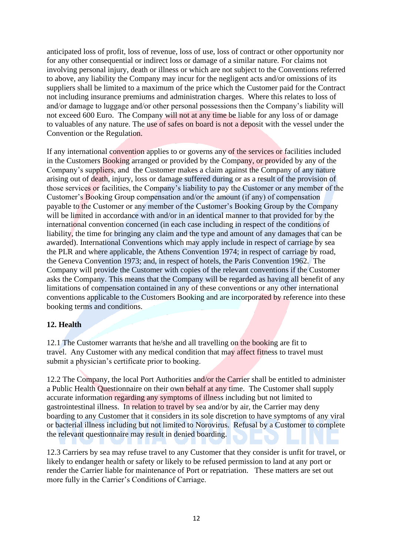anticipated loss of profit, loss of revenue, loss of use, loss of contract or other opportunity nor for any other consequential or indirect loss or damage of a similar nature. For claims not involving personal injury, death or illness or which are not subject to the Conventions referred to above, any liability the Company may incur for the negligent acts and/or omissions of its suppliers shall be limited to a maximum of the price which the Customer paid for the Contract not including insurance premiums and administration charges. Where this relates to loss of and/or damage to luggage and/or other personal possessions then the Company's liability will not exceed 600 Euro. The Company will not at any time be liable for any loss of or damage to valuables of any nature. The use of safes on board is not a deposit with the vessel under the Convention or the Regulation.

If any international convention applies to or governs any of the services or facilities included in the Customers Booking arranged or provided by the Company, or provided by any of the Company's suppliers, and the Customer makes a claim against the Company of any nature arising out of death, injury, loss or damage suffered during or as a result of the provision of those services or facilities, the Company's liability to pay the Customer or any member of the Customer's Booking Group compensation and/or the amount (if any) of compensation payable to the Customer or any member of the Customer's Booking Group by the Company will be limited in accordance with and/or in an identical manner to that provided for by the international convention concerned (in each case including in respect of the conditions of liability, the time for bringing any claim and the type and amount of any damages that can be awarded). International Conventions which may apply include in respect of carriage by sea the PLR and where applicable, the Athens Convention 1974; in respect of carriage by road, the Geneva Convention 1973; and, in respect of hotels, the Paris Convention 1962. The Company will provide the Customer with copies of the relevant conventions if the Customer asks the Company. This means that the Company will be regarded as having all benefit of any limitations of compensation contained in any of these conventions or any other international conventions applicable to the Customers Booking and are incorporated by reference into these booking terms and conditions.

## **12. Health**

12.1 The Customer warrants that he/she and all travelling on the booking are fit to travel. Any Customer with any medical condition that may affect fitness to travel must submit a physician's certificate prior to booking.

12.2 The Company, the local Port Authorities and/or the Carrier shall be entitled to administer a Public Health Questionnaire on their own behalf at any time. The Customer shall supply accurate information regarding any symptoms of illness including but not limited to gastrointestinal illness. In relation to travel by sea and/or by air, the Carrier may deny boarding to any Customer that it considers in its sole discretion to have symptoms of any viral or bacterial illness including but not limited to Norovirus. Refusal by a Customer to complete the relevant questionnaire may result in denied boarding.

12.3 Carriers by sea may refuse travel to any Customer that they consider is unfit for travel, or likely to endanger health or safety or likely to be refused permission to land at any port or render the Carrier liable for maintenance of Port or repatriation. These matters are set out more fully in the Carrier's Conditions of Carriage.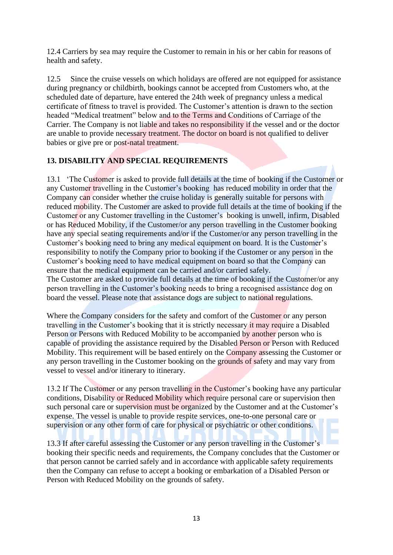12.4 Carriers by sea may require the Customer to remain in his or her cabin for reasons of health and safety.

12.5 Since the cruise vessels on which holidays are offered are not equipped for assistance during pregnancy or childbirth, bookings cannot be accepted from Customers who, at the scheduled date of departure, have entered the 24th week of pregnancy unless a medical certificate of fitness to travel is provided. The Customer's attention is drawn to the section headed "Medical treatment" below and to the Terms and Conditions of Carriage of the Carrier. The Company is not liable and takes no responsibility if the vessel and or the doctor are unable to provide necessary treatment. The doctor on board is not qualified to deliver babies or give pre or post-natal treatment.

## **13. DISABILITY AND SPECIAL REQUIREMENTS**

13.1 'The Customer is asked to provide full details at the time of booking if the Customer or any Customer travelling in the Customer's booking has reduced mobility in order that the Company can consider whether the cruise holiday is generally suitable for persons with reduced mobility. The Customer are asked to provide full details at the time of booking if the Customer or any Customer travelling in the Customer's booking is unwell, infirm, Disabled or has Reduced Mobility, if the Customer/or any person travelling in the Customer booking have any special seating requirements and/or if the Customer/or any person travelling in the Customer's booking need to bring any medical equipment on board. It is the Customer's responsibility to notify the Company prior to booking if the Customer or any person in the Customer's booking need to have medical equipment on board so that the Company can ensure that the medical equipment can be carried and/or carried safely.

The Customer are asked to provide full details at the time of booking if the Customer/or any person travelling in the Customer's booking needs to bring a recognised assistance dog on board the vessel. Please note that assistance dogs are subject to national regulations.

Where the Company considers for the safety and comfort of the Customer or any person travelling in the Customer's booking that it is strictly necessary it may require a Disabled Person or Persons with Reduced Mobility to be accompanied by another person who is capable of providing the assistance required by the Disabled Person or Person with Reduced Mobility. This requirement will be based entirely on the Company assessing the Customer or any person travelling in the Customer booking on the grounds of safety and may vary from vessel to vessel and/or itinerary to itinerary.

13.2 If The Customer or any person travelling in the Customer's booking have any particular conditions, Disability or Reduced Mobility which require personal care or supervision then such personal care or supervision must be organized by the Customer and at the Customer's expense. The vessel is unable to provide respite services, one-to-one personal care or supervision or any other form of care for physical or psychiatric or other conditions.

13.3 If after careful assessing the Customer or any person travelling in the Customer's booking their specific needs and requirements, the Company concludes that the Customer or that person cannot be carried safely and in accordance with applicable safety requirements then the Company can refuse to accept a booking or embarkation of a Disabled Person or Person with Reduced Mobility on the grounds of safety.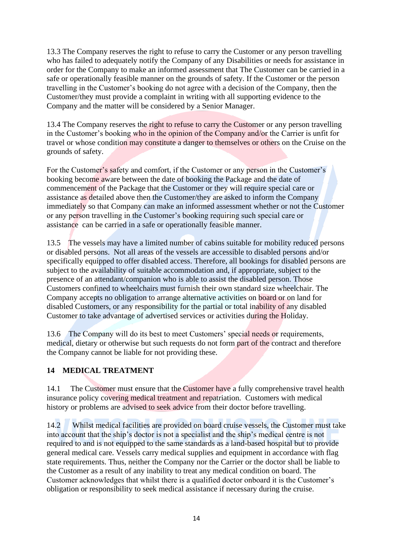13.3 The Company reserves the right to refuse to carry the Customer or any person travelling who has failed to adequately notify the Company of any Disabilities or needs for assistance in order for the Company to make an informed assessment that The Customer can be carried in a safe or operationally feasible manner on the grounds of safety. If the Customer or the person travelling in the Customer's booking do not agree with a decision of the Company, then the Customer/they must provide a complaint in writing with all supporting evidence to the Company and the matter will be considered by a Senior Manager.

13.4 The Company reserves the right to refuse to carry the Customer or any person travelling in the Customer's booking who in the opinion of the Company and/or the Carrier is unfit for travel or whose condition may constitute a danger to themselves or others on the Cruise on the grounds of safety.

For the Customer's safety and comfort, if the Customer or any person in the Customer's booking become aware between the date of booking the Package and the date of commencement of the Package that the Customer or they will require special care or assistance as detailed above then the Customer/they are asked to inform the Company immediately so that Company can make an informed assessment whether or not the Customer or any person travelling in the Customer's booking requiring such special care or assistance can be carried in a safe or operationally feasible manner.

13.5 The vessels may have a limited number of cabins suitable for mobility reduced persons or disabled persons. Not all areas of the vessels are accessible to disabled persons and/or specifically equipped to offer disabled access. Therefore, all bookings for disabled persons are subject to the availability of suitable accommodation and, if appropriate, subject to the presence of an attendant/companion who is able to assist the disabled person. Those Customers confined to wheelchairs must furnish their own standard size wheelchair. The Company accepts no obligation to arrange alternative activities on board or on land for disabled Customers, or any responsibility for the partial or total inability of any disabled Customer to take advantage of advertised services or activities during the Holiday.

13.6 The Company will do its best to meet Customers' special needs or requirements, medical, dietary or otherwise but such requests do not form part of the contract and therefore the Company cannot be liable for not providing these.

## **14 MEDICAL TREATMENT**

14.1 The Customer must ensure that the Customer have a fully comprehensive travel health insurance policy covering medical treatment and repatriation. Customers with medical history or problems are advised to seek advice from their doctor before travelling.

14.2 Whilst medical facilities are provided on board cruise vessels, the Customer must take into account that the ship's doctor is not a specialist and the ship's medical centre is not required to and is not equipped to the same standards as a land-based hospital but to provide general medical care. Vessels carry medical supplies and equipment in accordance with flag state requirements. Thus, neither the Company nor the Carrier or the doctor shall be liable to the Customer as a result of any inability to treat any medical condition on board. The Customer acknowledges that whilst there is a qualified doctor onboard it is the Customer's obligation or responsibility to seek medical assistance if necessary during the cruise.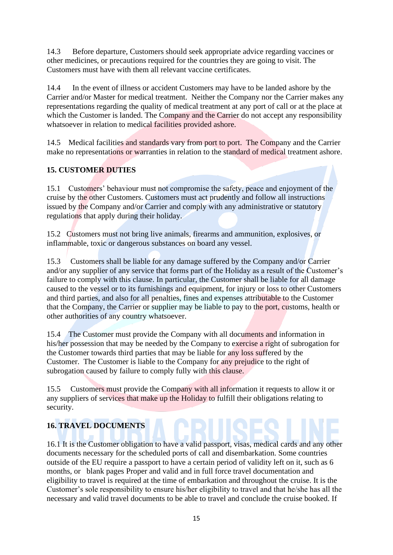14.3 Before departure, Customers should seek appropriate advice regarding vaccines or other medicines, or precautions required for the countries they are going to visit. The Customers must have with them all relevant vaccine certificates.

14.4 In the event of illness or accident Customers may have to be landed ashore by the Carrier and/or Master for medical treatment. Neither the Company nor the Carrier makes any representations regarding the quality of medical treatment at any port of call or at the place at which the Customer is landed. The Company and the Carrier do not accept any responsibility whatsoever in relation to medical facilities provided ashore.

14.5 Medical facilities and standards vary from port to port. The Company and the Carrier make no representations or warranties in relation to the standard of medical treatment ashore.

# **15. CUSTOMER DUTIES**

15.1 Customers' behaviour must not compromise the safety, peace and enjoyment of the cruise by the other Customers. Customers must act prudently and follow all instructions issued by the Company and/or Carrier and comply with any administrative or statutory regulations that apply during their holiday.

15.2 Customers must not bring live animals, firearms and ammunition, explosives, or inflammable, toxic or dangerous substances on board any vessel.

15.3 Customers shall be liable for any damage suffered by the Company and/or Carrier and/or any supplier of any service that forms part of the Holiday as a result of the Customer's failure to comply with this clause. In particular, the Customer shall be liable for all damage caused to the vessel or to its furnishings and equipment, for injury or loss to other Customers and third parties, and also for all penalties, fines and expenses attributable to the Customer that the Company, the Carrier or supplier may be liable to pay to the port, customs, health or other authorities of any country whatsoever.

15.4 The Customer must provide the Company with all documents and information in his/her possession that may be needed by the Company to exercise a right of subrogation for the Customer towards third parties that may be liable for any loss suffered by the Customer. The Customer is liable to the Company for any prejudice to the right of subrogation caused by failure to comply fully with this clause.

15.5 Customers must provide the Company with all information it requests to allow it or any suppliers of services that make up the Holiday to fulfill their obligations relating to security.

# **16. TRAVEL DOCUMENTS**

16.1 It is the Customer obligation to have a valid passport, visas, medical cards and any other documents necessary for the scheduled ports of call and disembarkation. Some countries outside of the EU require a passport to have a certain period of validity left on it, such as 6 months, or blank pages Proper and valid and in full force travel documentation and eligibility to travel is required at the time of embarkation and throughout the cruise. It is the Customer's sole responsibility to ensure his/her eligibility to travel and that he/she has all the necessary and valid travel documents to be able to travel and conclude the cruise booked. If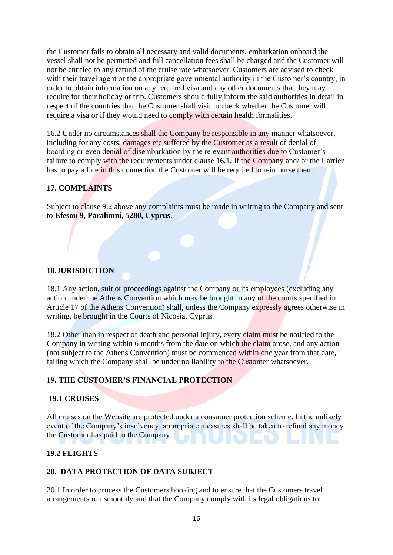the Customer fails to obtain all necessary and valid documents, embarkation onboard the vessel shall not be permitted and full cancellation fees shall be charged and the Customer will not be entitled to any refund of the cruise rate whatsoever. Customers are advised to check with their travel agent or the appropriate governmental authority in the Customer's country, in order to obtain information on any required visa and any other documents that they may require for their holiday or trip. Customers should fully inform the said authorities in detail in respect of the countries that the Customer shall visit to check whether the Customer will require a visa or if they would need to comply with certain health formalities.

16.2 Under no circumstances shall the Company be responsible in any manner whatsoever, including for any costs, damages etc suffered by the Customer as a result of denial of boarding or even denial of disembarkation by the relevant authorities due to Customer's failure to comply with the requirements under clause 16.1. If the Company and/ or the Carrier has to pay a fine in this connection the Customer will be required to reimburse them.

## **17. COMPLAINTS**

Subject to clause 9.2 above any complaints must be made in writing to the Company and sent to **Efesou 9, Paralimni, 5280, Cyprus**.

#### **18.JURISDICTION**

18.1 Any action, suit or proceedings against the Company or its employees (excluding any action under the Athens Convention which may be brought in any of the courts specified in Article 17 of the Athens Convention) shall, unless the Company expressly agrees otherwise in writing, be brought in the Courts of Nicosia, Cyprus.

18.2 Other than in respect of death and personal injury, every claim must be notified to the Company in writing within 6 months from the date on which the claim arose, and any action (not subject to the Athens Convention) must be commenced within one year from that date, failing which the Company shall be under no liability to the Customer whatsoever.

#### **19. THE CUSTOMER'S FINANCIAL PROTECTION**

#### **19.1 CRUISES**

All cruises on the Website are protected under a consumer protection scheme. In the unlikely event of the Company's insolvency, appropriate measures shall be taken to refund any money the Customer has paid to the Company.

#### **19.2 FLIGHTS**

#### **20. DATA PROTECTION OF DATA SUBJECT**

20.1 In order to process the Customers booking and to ensure that the Customers travel arrangements run smoothly and that the Company comply with its legal obligations to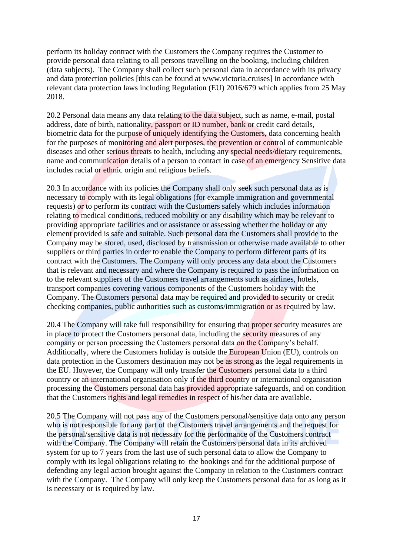perform its holiday contract with the Customers the Company requires the Customer to provide personal data relating to all persons travelling on the booking, including children (data subjects). The Company shall collect such personal data in accordance with its privacy and data protection policies [this can be found at www.victoria.cruises] in accordance with relevant data protection laws including Regulation (EU) 2016/679 which applies from 25 May 2018.

20.2 Personal data means any data relating to the data subject, such as name, e-mail, postal address, date of birth, nationality, passport or ID number, bank or credit card details, biometric data for the purpose of uniquely identifying the Customers, data concerning health for the purposes of monitoring and alert purposes, the prevention or control of communicable diseases and other serious threats to health, including any special needs/dietary requirements, name and communication details of a person to contact in case of an emergency Sensitive data includes racial or ethnic origin and religious beliefs.

20.3 In accordance with its policies the Company shall only seek such personal data as is necessary to comply with its legal obligations (for example immigration and governmental requests) or to perform its contract with the Customers safely which includes information relating to medical conditions, reduced mobility or any disability which may be relevant to providing appropriate facilities and or assistance or assessing whether the holiday or any element provided is safe and suitable. Such personal data the Customers shall provide to the Company may be stored, used, disclosed by transmission or otherwise made available to other suppliers or third parties in order to enable the Company to perform different parts of its contract with the Customers. The Company will only process any data about the Customers that is relevant and necessary and where the Company is required to pass the information on to the relevant suppliers of the Customers travel arrangements such as airlines, hotels, transport companies covering various components of the Customers holiday with the Company. The Customers personal data may be required and provided to security or credit checking companies, public authorities such as customs/immigration or as required by law.

20.4 The Company will take full responsibility for ensuring that proper security measures are in place to protect the Customers personal data, including the security measures of any company or person processing the Customers personal data on the Company's behalf. Additionally, where the Customers holiday is outside the European Union (EU), controls on data protection in the Customers destination may not be as strong as the legal requirements in the EU. However, the Company will only transfer the Customers personal data to a third country or an international organisation only if the third country or international organisation processing the Customers personal data has provided appropriate safeguards, and on condition that the Customers rights and legal remedies in respect of his/her data are available.

20.5 The Company will not pass any of the Customers personal/sensitive data onto any person who is not responsible for any part of the Customers travel arrangements and the request for the personal/sensitive data is not necessary for the performance of the Customers contract with the Company. The Company will retain the Customers personal data in its archived system for up to 7 years from the last use of such personal data to allow the Company to comply with its legal obligations relating to the bookings and for the additional purpose of defending any legal action brought against the Company in relation to the Customers contract with the Company. The Company will only keep the Customers personal data for as long as it is necessary or is required by law.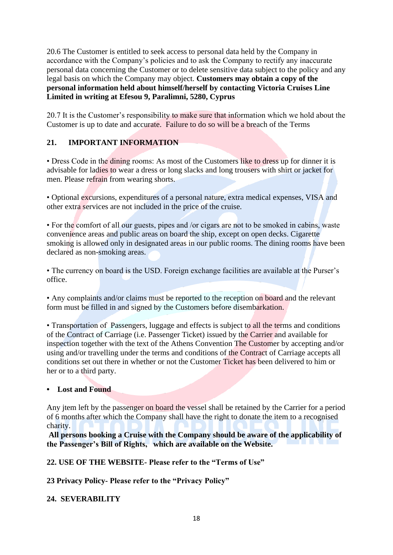20.6 The Customer is entitled to seek access to personal data held by the Company in accordance with the Company's policies and to ask the Company to rectify any inaccurate personal data concerning the Customer or to delete sensitive data subject to the policy and any legal basis on which the Company may object. **Customers may obtain a copy of the personal information held about himself/herself by contacting Victoria Cruises Line Limited in writing at Efesou 9, Paralimni, 5280, Cyprus**

20.7 It is the Customer's responsibility to make sure that information which we hold about the Customer is up to date and accurate. Failure to do so will be a breach of the Terms

## **21. IMPORTANT INFORMATION**

• Dress Code in the dining rooms: As most of the Customers like to dress up for dinner it is advisable for ladies to wear a dress or long slacks and long trousers with shirt or jacket for men. Please refrain from wearing shorts.

• Optional excursions, expenditures of a personal nature, extra medical expenses, VISA and other extra services are not included in the price of the cruise.

• For the comfort of all our guests, pipes and /or cigars are not to be smoked in cabins, waste convenience areas and public areas on board the ship, except on open decks. Cigarette smoking is allowed only in designated areas in our public rooms. The dining rooms have been declared as non-smoking areas.

• The currency on board is the USD. Foreign exchange facilities are available at the Purser's office.

• Any complaints and/or claims must be reported to the reception on board and the relevant form must be filled in and signed by the Customers before disembarkation.

• Transportation of Passengers, luggage and effects is subject to all the terms and conditions of the Contract of Carriage (i.e. Passenger Ticket) issued by the Carrier and available for inspection together with the text of the Athens Convention The Customer by accepting and/or using and/or travelling under the terms and conditions of the Contract of Carriage accepts all conditions set out there in whether or not the Customer Ticket has been delivered to him or her or to a third party.

#### **• Lost and Found**

Any jtem left by the passenger on board the vessel shall be retained by the Carrier for a period of 6 months after which the Company shall have the right to donate the item to a recognised charity.

**All persons booking a Cruise with the Company should be aware of the applicability of the Passenger's Bill of Rights, which are available on the Website.** 

**22. USE OF THE WEBSITE- Please refer to the "Terms of Use"**

**23 Privacy Policy- Please refer to the "Privacy Policy"**

#### **24. SEVERABILITY**